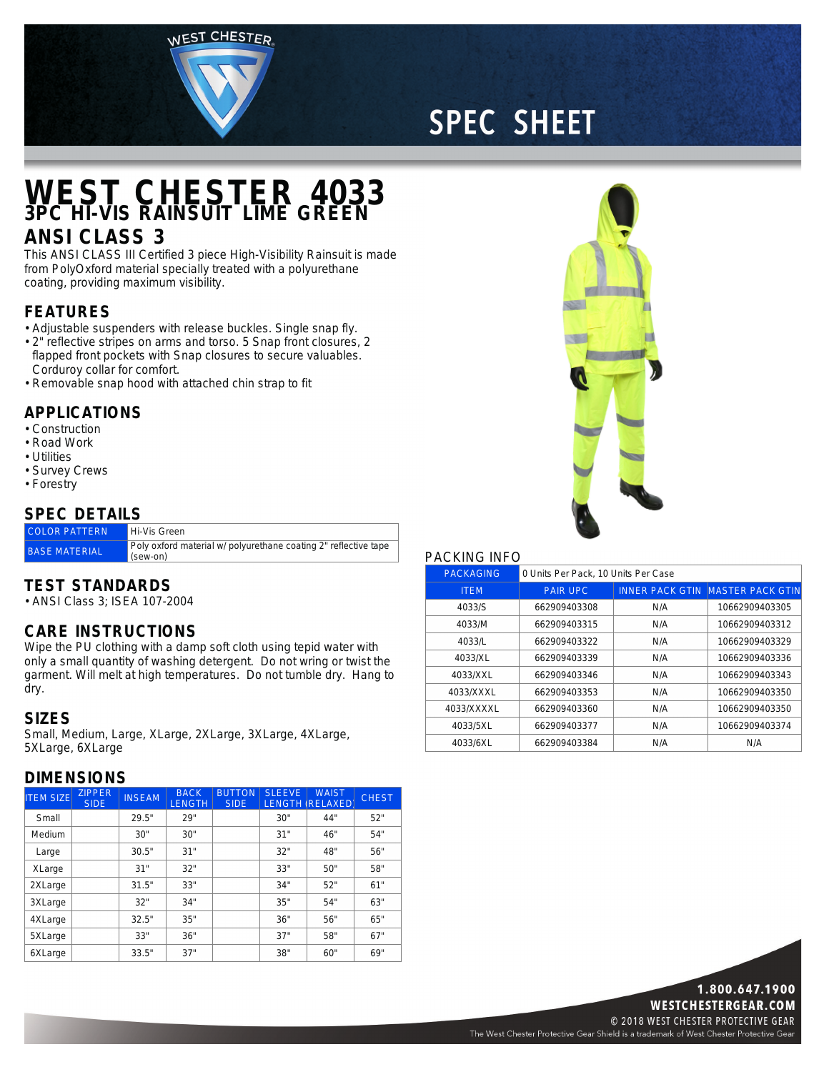WEST CHESTER

# **SPEC SHEET**

## **WEST CHESTER 4033 3PC HI-VIS RAINSUIT LIME GREEN**

### **ANSI CLASS 3**

This ANSI CLASS III Certified 3 piece High-Visibility Rainsuit is made from PolyOxford material specially treated with <sup>a</sup> polyurethane coating, providing maximum visibility.

#### **FEATURES**

- Adjustable suspenders with release buckles. Single snap fly.
- 2" reflective stripes on arms and torso. 5 Snap front closures, 2 flapped front pockets with Snap closures to secure valuables. Corduroy collar for comfort.
- Removable snap hood with attached chin strap to fit

#### **APPLICATIONS**

- Construction
- Road Work
- Utilities
- Survey Crews • Forestry

### **SPEC DETAILS**

| <b>COLOR PATTERN</b> | Hi-Vis Green                                                                |
|----------------------|-----------------------------------------------------------------------------|
| <b>BASE MATERIAL</b> | Poly oxford material w/ polyurethane coating 2" reflective tape<br>(sew-on) |

#### **TEST STANDARDS**

• ANSI Class 3; ISEA 107-2004

#### **CARE INSTRUCTIONS**

Wipe the PU clothing with <sup>a</sup> damp soft cloth using tepid water with only <sup>a</sup> small quantity of washing detergent. Do not wring or twist the garment. Will melt at high temperatures. Do not tumble dry. Hang to dry.

#### **SIZES**

Small, Medium, Large, XLarge, 2XLarge, 3XLarge, 4XLarge, 5XLarge, 6XLarge

#### **DIMENSIONS**

| <b>ITEM SIZE</b> | <b>ZIPPER</b><br><b>SIDE</b> | <b>INSEAM</b> | <b>BACK</b><br><b>LENGTH</b> | <b>BUTTON</b><br><b>SIDE</b> | <b>SLEEVE</b> | <b>WAIST</b><br><b>LENGTH (RELAXED)</b> | <b>CHEST</b> |
|------------------|------------------------------|---------------|------------------------------|------------------------------|---------------|-----------------------------------------|--------------|
| Small            |                              | 29.5"         | 29"                          |                              | 30"           | 44"                                     | 52"          |
| Medium           |                              | 30"           | 30"                          |                              | 31"           | 46"                                     | 54"          |
| Large            |                              | 30.5"         | 31"                          |                              | 32"           | 48"                                     | 56"          |
| XLarge           |                              | 31"           | 32"                          |                              | 33"           | 50"                                     | 58"          |
| 2XLarge          |                              | 31.5"         | 33"                          |                              | 34"           | 52"                                     | 61"          |
| 3XLarge          |                              | 32"           | 34"                          |                              | 35"           | 54"                                     | 63"          |
| 4XLarge          |                              | 32.5"         | 35"                          |                              | 36"           | 56"                                     | 65"          |
| 5XLarge          |                              | 33"           | 36"                          |                              | 37"           | 58"                                     | 67"          |
| 6XLarge          |                              | 33.5"         | 37"                          |                              | 38"           | 60"                                     | 69"          |



#### PACKING INFO

| <b>PACKAGING</b> | 0 Units Per Pack, 10 Units Per Case |     |                                         |  |  |
|------------------|-------------------------------------|-----|-----------------------------------------|--|--|
| <b>ITEM</b>      | <b>PAIR UPC</b>                     |     | <b>INNER PACK GTIN MASTER PACK GTIN</b> |  |  |
| 4033/S           | 662909403308                        | N/A | 10662909403305                          |  |  |
| 4033/M           | 662909403315                        | N/A | 10662909403312                          |  |  |
| 4033/L           | 662909403322                        | N/A | 10662909403329                          |  |  |
| 4033/XL          | 662909403339                        | N/A | 10662909403336                          |  |  |
| 4033/XXL         | 662909403346                        | N/A | 10662909403343                          |  |  |
| 4033/XXXL        | 662909403353                        | N/A | 10662909403350                          |  |  |
| 4033/XXXXL       | 662909403360                        | N/A | 10662909403350                          |  |  |
| 4033/5XL         | 662909403377                        | N/A | 10662909403374                          |  |  |
| 4033/6XL         | 662909403384                        | N/A | N/A                                     |  |  |



The West Chester Protective Gear Shield is a trademark of West Chester Protective Gear